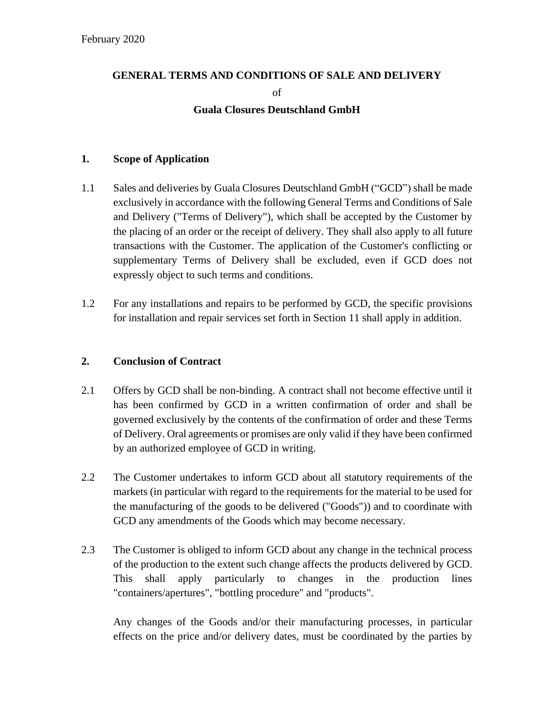# **GENERAL TERMS AND CONDITIONS OF SALE AND DELIVERY**

of

# **Guala Closures Deutschland GmbH**

# **1. Scope of Application**

- 1.1 Sales and deliveries by Guala Closures Deutschland GmbH ("GCD") shall be made exclusively in accordance with the following General Terms and Conditions of Sale and Delivery ("Terms of Delivery"), which shall be accepted by the Customer by the placing of an order or the receipt of delivery. They shall also apply to all future transactions with the Customer. The application of the Customer's conflicting or supplementary Terms of Delivery shall be excluded, even if GCD does not expressly object to such terms and conditions.
- 1.2 For any installations and repairs to be performed by GCD, the specific provisions for installation and repair services set forth in Section 11 shall apply in addition.

# **2. Conclusion of Contract**

- 2.1 Offers by GCD shall be non-binding. A contract shall not become effective until it has been confirmed by GCD in a written confirmation of order and shall be governed exclusively by the contents of the confirmation of order and these Terms of Delivery. Oral agreements or promises are only valid if they have been confirmed by an authorized employee of GCD in writing.
- 2.2 The Customer undertakes to inform GCD about all statutory requirements of the markets (in particular with regard to the requirements for the material to be used for the manufacturing of the goods to be delivered ("Goods")) and to coordinate with GCD any amendments of the Goods which may become necessary.
- 2.3 The Customer is obliged to inform GCD about any change in the technical process of the production to the extent such change affects the products delivered by GCD. This shall apply particularly to changes in the production lines "containers/apertures", "bottling procedure" and "products".

Any changes of the Goods and/or their manufacturing processes, in particular effects on the price and/or delivery dates, must be coordinated by the parties by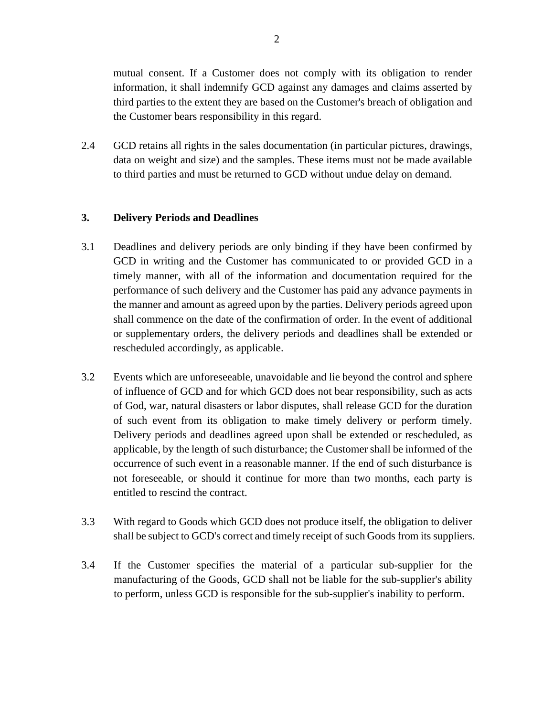mutual consent. If a Customer does not comply with its obligation to render information, it shall indemnify GCD against any damages and claims asserted by third parties to the extent they are based on the Customer's breach of obligation and the Customer bears responsibility in this regard.

2.4 GCD retains all rights in the sales documentation (in particular pictures, drawings, data on weight and size) and the samples. These items must not be made available to third parties and must be returned to GCD without undue delay on demand.

### **3. Delivery Periods and Deadlines**

- 3.1 Deadlines and delivery periods are only binding if they have been confirmed by GCD in writing and the Customer has communicated to or provided GCD in a timely manner, with all of the information and documentation required for the performance of such delivery and the Customer has paid any advance payments in the manner and amount as agreed upon by the parties. Delivery periods agreed upon shall commence on the date of the confirmation of order. In the event of additional or supplementary orders, the delivery periods and deadlines shall be extended or rescheduled accordingly, as applicable.
- 3.2 Events which are unforeseeable, unavoidable and lie beyond the control and sphere of influence of GCD and for which GCD does not bear responsibility, such as acts of God, war, natural disasters or labor disputes, shall release GCD for the duration of such event from its obligation to make timely delivery or perform timely. Delivery periods and deadlines agreed upon shall be extended or rescheduled, as applicable, by the length of such disturbance; the Customer shall be informed of the occurrence of such event in a reasonable manner. If the end of such disturbance is not foreseeable, or should it continue for more than two months, each party is entitled to rescind the contract.
- 3.3 With regard to Goods which GCD does not produce itself, the obligation to deliver shall be subject to GCD's correct and timely receipt of such Goods from its suppliers.
- 3.4 If the Customer specifies the material of a particular sub-supplier for the manufacturing of the Goods, GCD shall not be liable for the sub-supplier's ability to perform, unless GCD is responsible for the sub-supplier's inability to perform.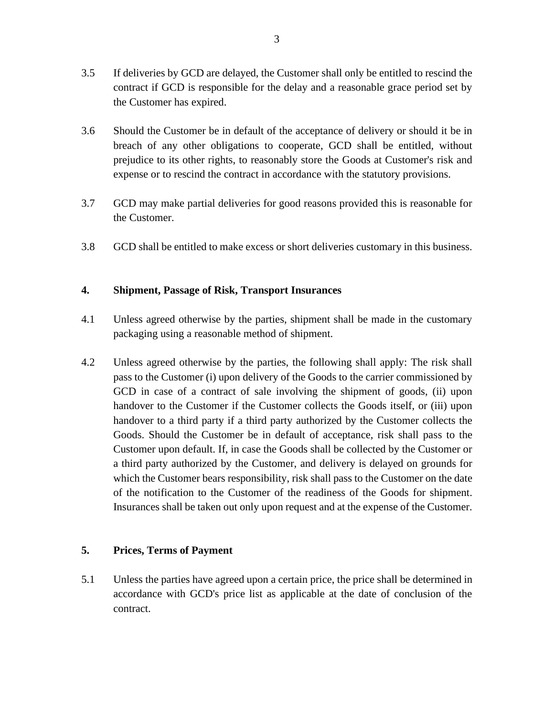- 3.5 If deliveries by GCD are delayed, the Customer shall only be entitled to rescind the contract if GCD is responsible for the delay and a reasonable grace period set by the Customer has expired.
- 3.6 Should the Customer be in default of the acceptance of delivery or should it be in breach of any other obligations to cooperate, GCD shall be entitled, without prejudice to its other rights, to reasonably store the Goods at Customer's risk and expense or to rescind the contract in accordance with the statutory provisions.
- 3.7 GCD may make partial deliveries for good reasons provided this is reasonable for the Customer.
- 3.8 GCD shall be entitled to make excess or short deliveries customary in this business.

## **4. Shipment, Passage of Risk, Transport Insurances**

- 4.1 Unless agreed otherwise by the parties, shipment shall be made in the customary packaging using a reasonable method of shipment.
- 4.2 Unless agreed otherwise by the parties, the following shall apply: The risk shall pass to the Customer (i) upon delivery of the Goods to the carrier commissioned by GCD in case of a contract of sale involving the shipment of goods, (ii) upon handover to the Customer if the Customer collects the Goods itself, or (iii) upon handover to a third party if a third party authorized by the Customer collects the Goods. Should the Customer be in default of acceptance, risk shall pass to the Customer upon default. If, in case the Goods shall be collected by the Customer or a third party authorized by the Customer, and delivery is delayed on grounds for which the Customer bears responsibility, risk shall pass to the Customer on the date of the notification to the Customer of the readiness of the Goods for shipment. Insurances shall be taken out only upon request and at the expense of the Customer.

### **5. Prices, Terms of Payment**

5.1 Unless the parties have agreed upon a certain price, the price shall be determined in accordance with GCD's price list as applicable at the date of conclusion of the contract.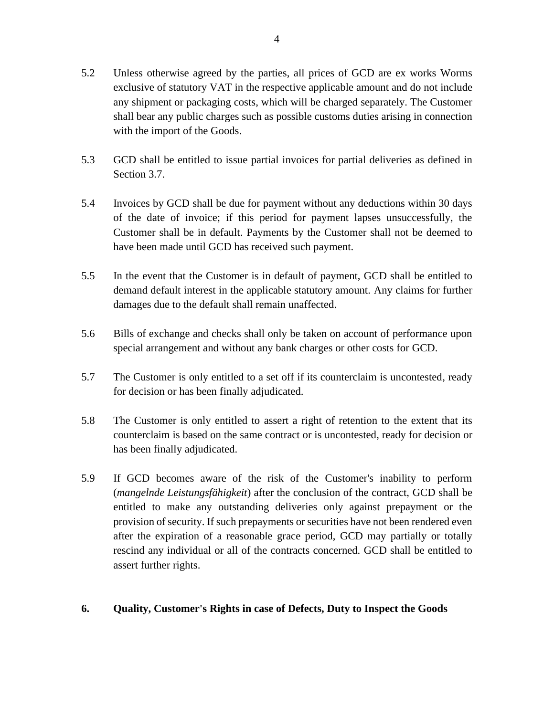- 5.2 Unless otherwise agreed by the parties, all prices of GCD are ex works Worms exclusive of statutory VAT in the respective applicable amount and do not include any shipment or packaging costs, which will be charged separately. The Customer shall bear any public charges such as possible customs duties arising in connection with the import of the Goods.
- 5.3 GCD shall be entitled to issue partial invoices for partial deliveries as defined in Section 3.7.
- 5.4 Invoices by GCD shall be due for payment without any deductions within 30 days of the date of invoice; if this period for payment lapses unsuccessfully, the Customer shall be in default. Payments by the Customer shall not be deemed to have been made until GCD has received such payment.
- 5.5 In the event that the Customer is in default of payment, GCD shall be entitled to demand default interest in the applicable statutory amount. Any claims for further damages due to the default shall remain unaffected.
- 5.6 Bills of exchange and checks shall only be taken on account of performance upon special arrangement and without any bank charges or other costs for GCD.
- 5.7 The Customer is only entitled to a set off if its counterclaim is uncontested, ready for decision or has been finally adjudicated.
- 5.8 The Customer is only entitled to assert a right of retention to the extent that its counterclaim is based on the same contract or is uncontested, ready for decision or has been finally adjudicated.
- 5.9 If GCD becomes aware of the risk of the Customer's inability to perform (*mangelnde Leistungsfähigkeit*) after the conclusion of the contract, GCD shall be entitled to make any outstanding deliveries only against prepayment or the provision of security. If such prepayments or securities have not been rendered even after the expiration of a reasonable grace period, GCD may partially or totally rescind any individual or all of the contracts concerned. GCD shall be entitled to assert further rights.
- **6. Quality, Customer's Rights in case of Defects, Duty to Inspect the Goods**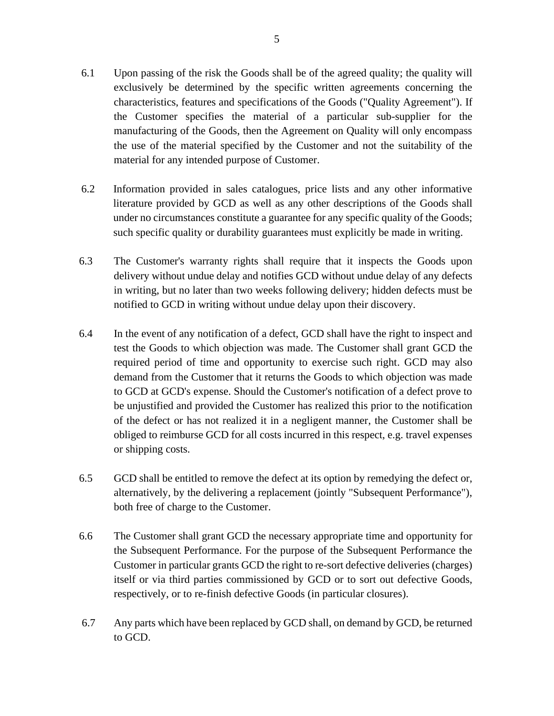- 6.1 Upon passing of the risk the Goods shall be of the agreed quality; the quality will exclusively be determined by the specific written agreements concerning the characteristics, features and specifications of the Goods ("Quality Agreement"). If the Customer specifies the material of a particular sub-supplier for the manufacturing of the Goods, then the Agreement on Quality will only encompass the use of the material specified by the Customer and not the suitability of the material for any intended purpose of Customer.
- 6.2 Information provided in sales catalogues, price lists and any other informative literature provided by GCD as well as any other descriptions of the Goods shall under no circumstances constitute a guarantee for any specific quality of the Goods; such specific quality or durability guarantees must explicitly be made in writing.
- 6.3 The Customer's warranty rights shall require that it inspects the Goods upon delivery without undue delay and notifies GCD without undue delay of any defects in writing, but no later than two weeks following delivery; hidden defects must be notified to GCD in writing without undue delay upon their discovery.
- 6.4 In the event of any notification of a defect, GCD shall have the right to inspect and test the Goods to which objection was made. The Customer shall grant GCD the required period of time and opportunity to exercise such right. GCD may also demand from the Customer that it returns the Goods to which objection was made to GCD at GCD's expense. Should the Customer's notification of a defect prove to be unjustified and provided the Customer has realized this prior to the notification of the defect or has not realized it in a negligent manner, the Customer shall be obliged to reimburse GCD for all costs incurred in this respect, e.g. travel expenses or shipping costs.
- 6.5 GCD shall be entitled to remove the defect at its option by remedying the defect or, alternatively, by the delivering a replacement (jointly "Subsequent Performance"), both free of charge to the Customer.
- 6.6 The Customer shall grant GCD the necessary appropriate time and opportunity for the Subsequent Performance. For the purpose of the Subsequent Performance the Customer in particular grants GCD the right to re-sort defective deliveries (charges) itself or via third parties commissioned by GCD or to sort out defective Goods, respectively, or to re-finish defective Goods (in particular closures).
- 6.7 Any parts which have been replaced by GCD shall, on demand by GCD, be returned to GCD.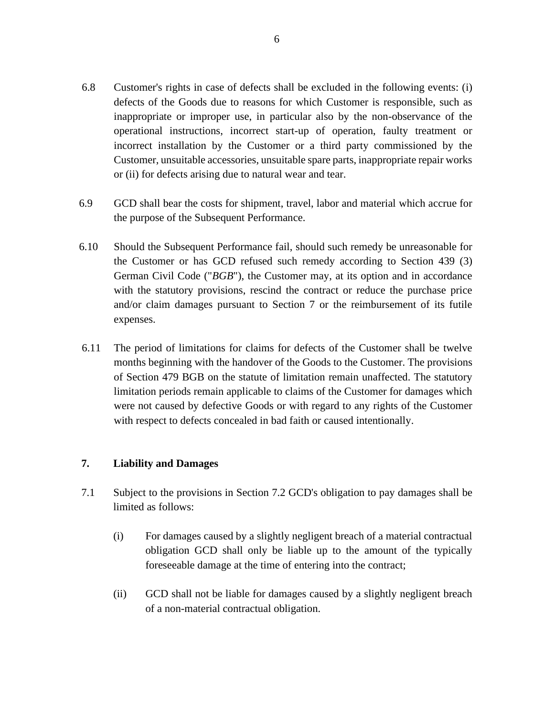- 6.8 Customer's rights in case of defects shall be excluded in the following events: (i) defects of the Goods due to reasons for which Customer is responsible, such as inappropriate or improper use, in particular also by the non-observance of the operational instructions, incorrect start-up of operation, faulty treatment or incorrect installation by the Customer or a third party commissioned by the Customer, unsuitable accessories, unsuitable spare parts, inappropriate repair works or (ii) for defects arising due to natural wear and tear.
- 6.9 GCD shall bear the costs for shipment, travel, labor and material which accrue for the purpose of the Subsequent Performance.
- 6.10 Should the Subsequent Performance fail, should such remedy be unreasonable for the Customer or has GCD refused such remedy according to Section 439 (3) German Civil Code ("*BGB*"), the Customer may, at its option and in accordance with the statutory provisions, rescind the contract or reduce the purchase price and/or claim damages pursuant to Section 7 or the reimbursement of its futile expenses.
- 6.11 The period of limitations for claims for defects of the Customer shall be twelve months beginning with the handover of the Goods to the Customer. The provisions of Section 479 BGB on the statute of limitation remain unaffected. The statutory limitation periods remain applicable to claims of the Customer for damages which were not caused by defective Goods or with regard to any rights of the Customer with respect to defects concealed in bad faith or caused intentionally.

### **7. Liability and Damages**

- 7.1 Subject to the provisions in Section 7.2 GCD's obligation to pay damages shall be limited as follows:
	- (i) For damages caused by a slightly negligent breach of a material contractual obligation GCD shall only be liable up to the amount of the typically foreseeable damage at the time of entering into the contract;
	- (ii) GCD shall not be liable for damages caused by a slightly negligent breach of a non-material contractual obligation.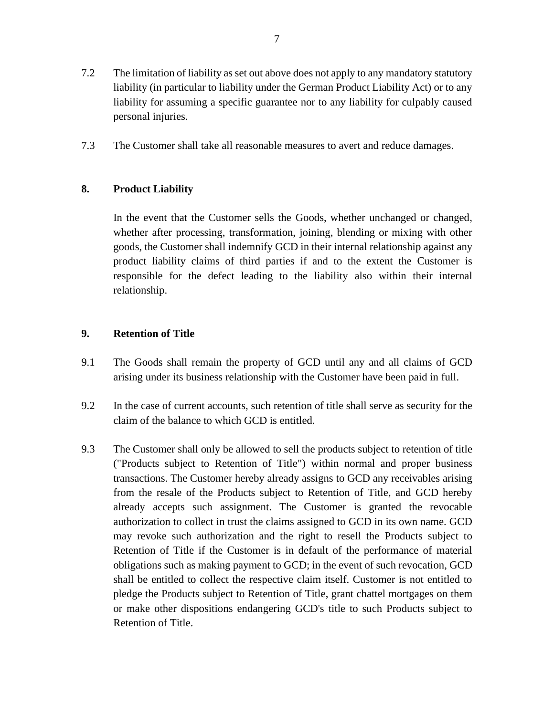- 7.2 The limitation of liability as set out above does not apply to any mandatory statutory liability (in particular to liability under the German Product Liability Act) or to any liability for assuming a specific guarantee nor to any liability for culpably caused personal injuries.
- 7.3 The Customer shall take all reasonable measures to avert and reduce damages.

### **8. Product Liability**

In the event that the Customer sells the Goods, whether unchanged or changed, whether after processing, transformation, joining, blending or mixing with other goods, the Customer shall indemnify GCD in their internal relationship against any product liability claims of third parties if and to the extent the Customer is responsible for the defect leading to the liability also within their internal relationship.

## **9. Retention of Title**

- 9.1 The Goods shall remain the property of GCD until any and all claims of GCD arising under its business relationship with the Customer have been paid in full.
- 9.2 In the case of current accounts, such retention of title shall serve as security for the claim of the balance to which GCD is entitled.
- 9.3 The Customer shall only be allowed to sell the products subject to retention of title ("Products subject to Retention of Title") within normal and proper business transactions. The Customer hereby already assigns to GCD any receivables arising from the resale of the Products subject to Retention of Title, and GCD hereby already accepts such assignment. The Customer is granted the revocable authorization to collect in trust the claims assigned to GCD in its own name. GCD may revoke such authorization and the right to resell the Products subject to Retention of Title if the Customer is in default of the performance of material obligations such as making payment to GCD; in the event of such revocation, GCD shall be entitled to collect the respective claim itself. Customer is not entitled to pledge the Products subject to Retention of Title, grant chattel mortgages on them or make other dispositions endangering GCD's title to such Products subject to Retention of Title.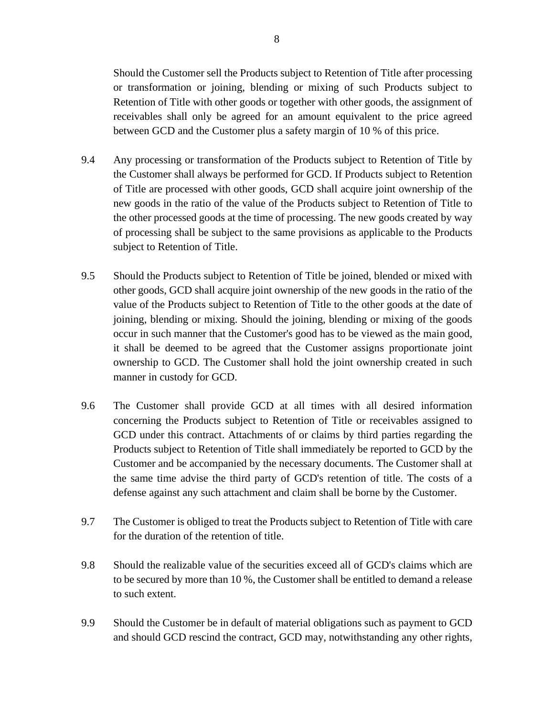Should the Customer sell the Products subject to Retention of Title after processing or transformation or joining, blending or mixing of such Products subject to Retention of Title with other goods or together with other goods, the assignment of receivables shall only be agreed for an amount equivalent to the price agreed between GCD and the Customer plus a safety margin of 10 % of this price.

- 9.4 Any processing or transformation of the Products subject to Retention of Title by the Customer shall always be performed for GCD. If Products subject to Retention of Title are processed with other goods, GCD shall acquire joint ownership of the new goods in the ratio of the value of the Products subject to Retention of Title to the other processed goods at the time of processing. The new goods created by way of processing shall be subject to the same provisions as applicable to the Products subject to Retention of Title.
- 9.5 Should the Products subject to Retention of Title be joined, blended or mixed with other goods, GCD shall acquire joint ownership of the new goods in the ratio of the value of the Products subject to Retention of Title to the other goods at the date of joining, blending or mixing. Should the joining, blending or mixing of the goods occur in such manner that the Customer's good has to be viewed as the main good, it shall be deemed to be agreed that the Customer assigns proportionate joint ownership to GCD. The Customer shall hold the joint ownership created in such manner in custody for GCD.
- 9.6 The Customer shall provide GCD at all times with all desired information concerning the Products subject to Retention of Title or receivables assigned to GCD under this contract. Attachments of or claims by third parties regarding the Products subject to Retention of Title shall immediately be reported to GCD by the Customer and be accompanied by the necessary documents. The Customer shall at the same time advise the third party of GCD's retention of title. The costs of a defense against any such attachment and claim shall be borne by the Customer.
- 9.7 The Customer is obliged to treat the Products subject to Retention of Title with care for the duration of the retention of title.
- 9.8 Should the realizable value of the securities exceed all of GCD's claims which are to be secured by more than 10 %, the Customer shall be entitled to demand a release to such extent.
- 9.9 Should the Customer be in default of material obligations such as payment to GCD and should GCD rescind the contract, GCD may, notwithstanding any other rights,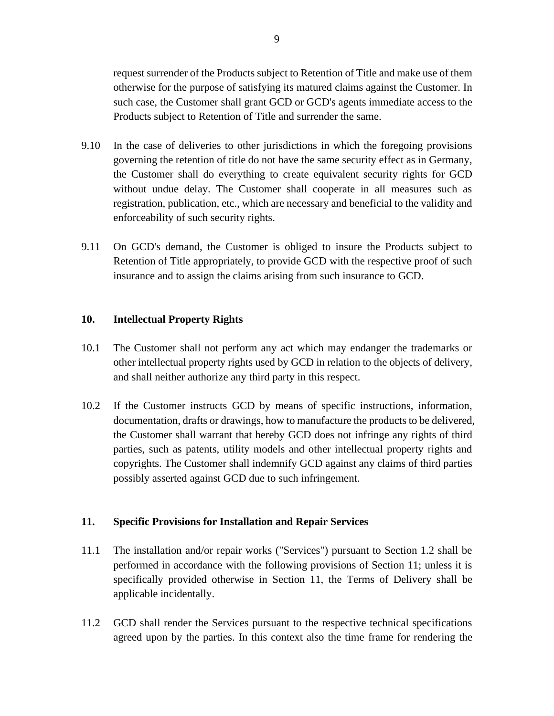request surrender of the Products subject to Retention of Title and make use of them otherwise for the purpose of satisfying its matured claims against the Customer. In such case, the Customer shall grant GCD or GCD's agents immediate access to the Products subject to Retention of Title and surrender the same.

- 9.10 In the case of deliveries to other jurisdictions in which the foregoing provisions governing the retention of title do not have the same security effect as in Germany, the Customer shall do everything to create equivalent security rights for GCD without undue delay. The Customer shall cooperate in all measures such as registration, publication, etc., which are necessary and beneficial to the validity and enforceability of such security rights.
- 9.11 On GCD's demand, the Customer is obliged to insure the Products subject to Retention of Title appropriately, to provide GCD with the respective proof of such insurance and to assign the claims arising from such insurance to GCD.

#### **10. Intellectual Property Rights**

- 10.1 The Customer shall not perform any act which may endanger the trademarks or other intellectual property rights used by GCD in relation to the objects of delivery, and shall neither authorize any third party in this respect.
- 10.2 If the Customer instructs GCD by means of specific instructions, information, documentation, drafts or drawings, how to manufacture the products to be delivered, the Customer shall warrant that hereby GCD does not infringe any rights of third parties, such as patents, utility models and other intellectual property rights and copyrights. The Customer shall indemnify GCD against any claims of third parties possibly asserted against GCD due to such infringement.

#### **11. Specific Provisions for Installation and Repair Services**

- 11.1 The installation and/or repair works ("Services") pursuant to Section 1.2 shall be performed in accordance with the following provisions of Section 11; unless it is specifically provided otherwise in Section 11, the Terms of Delivery shall be applicable incidentally.
- 11.2 GCD shall render the Services pursuant to the respective technical specifications agreed upon by the parties. In this context also the time frame for rendering the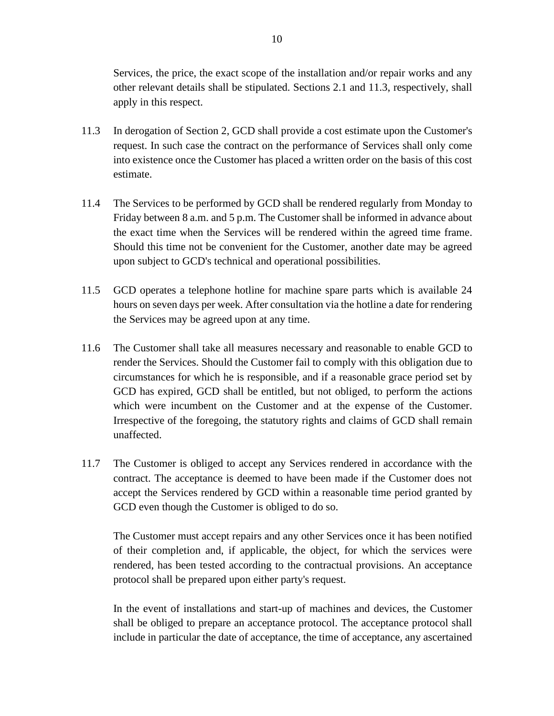Services, the price, the exact scope of the installation and/or repair works and any other relevant details shall be stipulated. Sections 2.1 and 11.3, respectively, shall apply in this respect.

- 11.3 In derogation of Section 2, GCD shall provide a cost estimate upon the Customer's request. In such case the contract on the performance of Services shall only come into existence once the Customer has placed a written order on the basis of this cost estimate.
- 11.4 The Services to be performed by GCD shall be rendered regularly from Monday to Friday between 8 a.m. and 5 p.m. The Customer shall be informed in advance about the exact time when the Services will be rendered within the agreed time frame. Should this time not be convenient for the Customer, another date may be agreed upon subject to GCD's technical and operational possibilities.
- 11.5 GCD operates a telephone hotline for machine spare parts which is available 24 hours on seven days per week. After consultation via the hotline a date for rendering the Services may be agreed upon at any time.
- 11.6 The Customer shall take all measures necessary and reasonable to enable GCD to render the Services. Should the Customer fail to comply with this obligation due to circumstances for which he is responsible, and if a reasonable grace period set by GCD has expired, GCD shall be entitled, but not obliged, to perform the actions which were incumbent on the Customer and at the expense of the Customer. Irrespective of the foregoing, the statutory rights and claims of GCD shall remain unaffected.
- 11.7 The Customer is obliged to accept any Services rendered in accordance with the contract. The acceptance is deemed to have been made if the Customer does not accept the Services rendered by GCD within a reasonable time period granted by GCD even though the Customer is obliged to do so.

The Customer must accept repairs and any other Services once it has been notified of their completion and, if applicable, the object, for which the services were rendered, has been tested according to the contractual provisions. An acceptance protocol shall be prepared upon either party's request.

In the event of installations and start-up of machines and devices, the Customer shall be obliged to prepare an acceptance protocol. The acceptance protocol shall include in particular the date of acceptance, the time of acceptance, any ascertained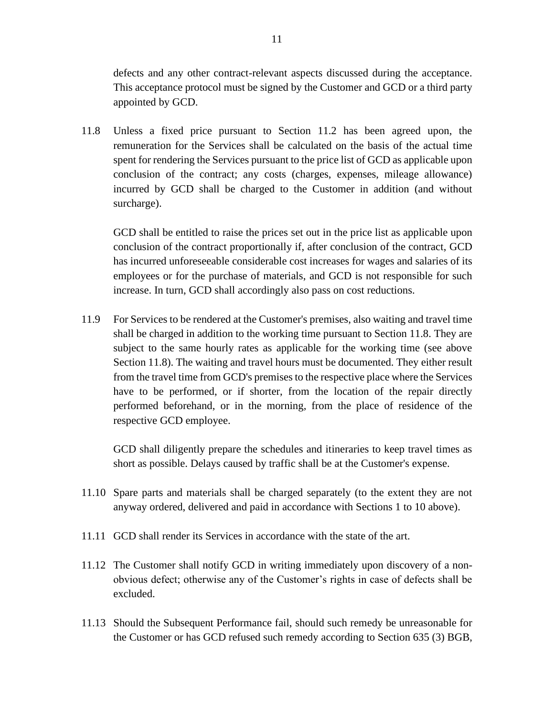defects and any other contract-relevant aspects discussed during the acceptance. This acceptance protocol must be signed by the Customer and GCD or a third party appointed by GCD.

11.8 Unless a fixed price pursuant to Section 11.2 has been agreed upon, the remuneration for the Services shall be calculated on the basis of the actual time spent for rendering the Services pursuant to the price list of GCD as applicable upon conclusion of the contract; any costs (charges, expenses, mileage allowance) incurred by GCD shall be charged to the Customer in addition (and without surcharge).

GCD shall be entitled to raise the prices set out in the price list as applicable upon conclusion of the contract proportionally if, after conclusion of the contract, GCD has incurred unforeseeable considerable cost increases for wages and salaries of its employees or for the purchase of materials, and GCD is not responsible for such increase. In turn, GCD shall accordingly also pass on cost reductions.

11.9 For Services to be rendered at the Customer's premises, also waiting and travel time shall be charged in addition to the working time pursuant to Section 11.8. They are subject to the same hourly rates as applicable for the working time (see above Section 11.8). The waiting and travel hours must be documented. They either result from the travel time from GCD's premises to the respective place where the Services have to be performed, or if shorter, from the location of the repair directly performed beforehand, or in the morning, from the place of residence of the respective GCD employee.

GCD shall diligently prepare the schedules and itineraries to keep travel times as short as possible. Delays caused by traffic shall be at the Customer's expense.

- 11.10 Spare parts and materials shall be charged separately (to the extent they are not anyway ordered, delivered and paid in accordance with Sections 1 to 10 above).
- 11.11 GCD shall render its Services in accordance with the state of the art.
- 11.12 The Customer shall notify GCD in writing immediately upon discovery of a nonobvious defect; otherwise any of the Customer's rights in case of defects shall be excluded.
- 11.13 Should the Subsequent Performance fail, should such remedy be unreasonable for the Customer or has GCD refused such remedy according to Section 635 (3) BGB,